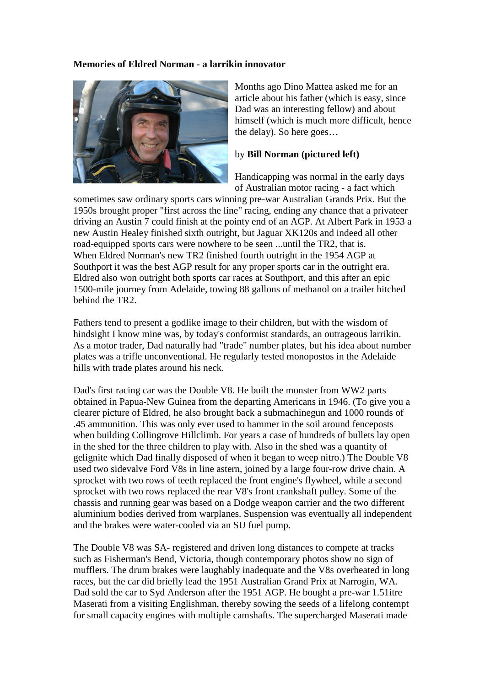## **Memories of Eldred Norman - a larrikin innovator**



Months ago Dino Mattea asked me for an article about his father (which is easy, since Dad was an interesting fellow) and about himself (which is much more difficult, hence the delay). So here goes…

## by **Bill Norman (pictured left)**

Handicapping was normal in the early days of Australian motor racing - a fact which

sometimes saw ordinary sports cars winning pre-war Australian Grands Prix. But the 1950s brought proper "first across the line" racing, ending any chance that a privateer driving an Austin 7 could finish at the pointy end of an AGP. At Albert Park in 1953 a new Austin Healey finished sixth outright, but Jaguar XK120s and indeed all other road-equipped sports cars were nowhere to be seen ...until the TR2, that is. When Eldred Norman's new TR2 finished fourth outright in the 1954 AGP at Southport it was the best AGP result for any proper sports car in the outright era. Eldred also won outright both sports car races at Southport, and this after an epic 1500-mile journey from Adelaide, towing 88 gallons of methanol on a trailer hitched behind the TR2.

Fathers tend to present a godlike image to their children, but with the wisdom of hindsight I know mine was, by today's conformist standards, an outrageous larrikin. As a motor trader, Dad naturally had "trade" number plates, but his idea about number plates was a trifle unconventional. He regularly tested monopostos in the Adelaide hills with trade plates around his neck.

Dad's first racing car was the Double V8. He built the monster from WW2 parts obtained in Papua-New Guinea from the departing Americans in 1946. (To give you a clearer picture of Eldred, he also brought back a submachinegun and 1000 rounds of .45 ammunition. This was only ever used to hammer in the soil around fenceposts when building Collingrove Hillclimb. For years a case of hundreds of bullets lay open in the shed for the three children to play with. Also in the shed was a quantity of gelignite which Dad finally disposed of when it began to weep nitro.) The Double V8 used two sidevalve Ford V8s in line astern, joined by a large four-row drive chain. A sprocket with two rows of teeth replaced the front engine's flywheel, while a second sprocket with two rows replaced the rear V8's front crankshaft pulley. Some of the chassis and running gear was based on a Dodge weapon carrier and the two different aluminium bodies derived from warplanes. Suspension was eventually all independent and the brakes were water-cooled via an SU fuel pump.

The Double V8 was SA- registered and driven long distances to compete at tracks such as Fisherman's Bend, Victoria, though contemporary photos show no sign of mufflers. The drum brakes were laughably inadequate and the V8s overheated in long races, but the car did briefly lead the 1951 Australian Grand Prix at Narrogin, WA. Dad sold the car to Syd Anderson after the 1951 AGP. He bought a pre-war 1.51itre Maserati from a visiting Englishman, thereby sowing the seeds of a lifelong contempt for small capacity engines with multiple camshafts. The supercharged Maserati made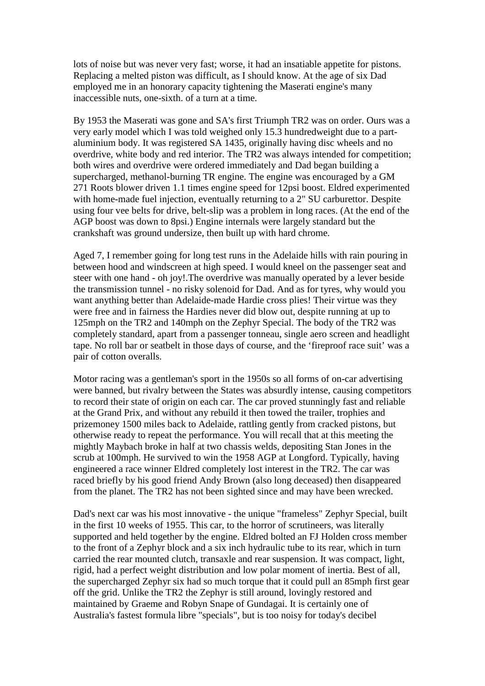lots of noise but was never very fast; worse, it had an insatiable appetite for pistons. Replacing a melted piston was difficult, as I should know. At the age of six Dad employed me in an honorary capacity tightening the Maserati engine's many inaccessible nuts, one-sixth. of a turn at a time.

By 1953 the Maserati was gone and SA's first Triumph TR2 was on order. Ours was a very early model which I was told weighed only 15.3 hundredweight due to a partaluminium body. It was registered SA 1435, originally having disc wheels and no overdrive, white body and red interior. The TR2 was always intended for competition; both wires and overdrive were ordered immediately and Dad began building a supercharged, methanol-burning TR engine. The engine was encouraged by a GM 271 Roots blower driven 1.1 times engine speed for 12psi boost. Eldred experimented with home-made fuel injection, eventually returning to a 2" SU carburettor. Despite using four vee belts for drive, belt-slip was a problem in long races. (At the end of the AGP boost was down to 8psi.) Engine internals were largely standard but the crankshaft was ground undersize, then built up with hard chrome.

Aged 7, I remember going for long test runs in the Adelaide hills with rain pouring in between hood and windscreen at high speed. I would kneel on the passenger seat and steer with one hand - oh joy!.The overdrive was manually operated by a lever beside the transmission tunnel - no risky solenoid for Dad. And as for tyres, why would you want anything better than Adelaide-made Hardie cross plies! Their virtue was they were free and in fairness the Hardies never did blow out, despite running at up to 125mph on the TR2 and 140mph on the Zephyr Special. The body of the TR2 was completely standard, apart from a passenger tonneau, single aero screen and headlight tape. No roll bar or seatbelt in those days of course, and the 'fireproof race suit' was a pair of cotton overalls.

Motor racing was a gentleman's sport in the 1950s so all forms of on-car advertising were banned, but rivalry between the States was absurdly intense, causing competitors to record their state of origin on each car. The car proved stunningly fast and reliable at the Grand Prix, and without any rebuild it then towed the trailer, trophies and prizemoney 1500 miles back to Adelaide, rattling gently from cracked pistons, but otherwise ready to repeat the performance. You will recall that at this meeting the mightly Maybach broke in half at two chassis welds, depositing Stan Jones in the scrub at 100mph. He survived to win the 1958 AGP at Longford. Typically, having engineered a race winner Eldred completely lost interest in the TR2. The car was raced briefly by his good friend Andy Brown (also long deceased) then disappeared from the planet. The TR2 has not been sighted since and may have been wrecked.

Dad's next car was his most innovative - the unique "frameless" Zephyr Special, built in the first 10 weeks of 1955. This car, to the horror of scrutineers, was literally supported and held together by the engine. Eldred bolted an FJ Holden cross member to the front of a Zephyr block and a six inch hydraulic tube to its rear, which in turn carried the rear mounted clutch, transaxle and rear suspension. It was compact, light, rigid, had a perfect weight distribution and low polar moment of inertia. Best of all, the supercharged Zephyr six had so much torque that it could pull an 85mph first gear off the grid. Unlike the TR2 the Zephyr is still around, lovingly restored and maintained by Graeme and Robyn Snape of Gundagai. It is certainly one of Australia's fastest formula libre "specials", but is too noisy for today's decibel